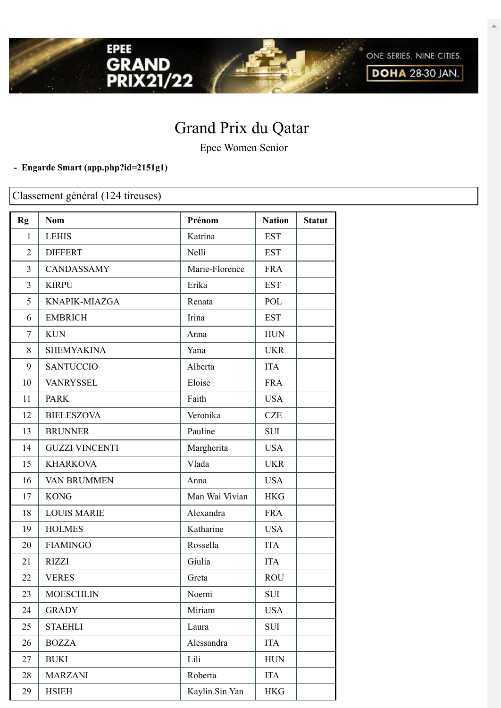

Epee Women Senior

## **- Engarde Smart [\(app.php?id=2151g1\)](https://engarde-service.com/app.php?id=2151g1)**

EPEE

GRAND<br>PRIX21/22

Classement général (124 tireuses)

| Rg             | <b>Nom</b>            | Prénom         | <b>Nation</b> | <b>Statut</b> |
|----------------|-----------------------|----------------|---------------|---------------|
| 1              | <b>LEHIS</b>          | Katrina        | <b>EST</b>    |               |
| $\overline{2}$ | <b>DIFFERT</b>        | Nelli          | <b>EST</b>    |               |
| $\overline{3}$ | <b>CANDASSAMY</b>     | Marie-Florence | <b>FRA</b>    |               |
| $\overline{3}$ | <b>KIRPU</b>          | Erika          | <b>EST</b>    |               |
| 5              | KNAPIK-MIAZGA         | Renata         | <b>POL</b>    |               |
| 6              | <b>EMBRICH</b>        | Irina          | <b>EST</b>    |               |
| $\tau$         | <b>KUN</b>            | Anna           | <b>HUN</b>    |               |
| 8              | <b>SHEMYAKINA</b>     | Yana           | <b>UKR</b>    |               |
| 9              | <b>SANTUCCIO</b>      | Alberta        | <b>ITA</b>    |               |
| 10             | <b>VANRYSSEL</b>      | Eloise         | <b>FRA</b>    |               |
| 11             | <b>PARK</b>           | Faith          | <b>USA</b>    |               |
| 12             | <b>BIELESZOVA</b>     | Veronika       | <b>CZE</b>    |               |
| 13             | <b>BRUNNER</b>        | Pauline        | <b>SUI</b>    |               |
| 14             | <b>GUZZI VINCENTI</b> | Margherita     | <b>USA</b>    |               |
| 15             | <b>KHARKOVA</b>       | Vlada          | <b>UKR</b>    |               |
| 16             | <b>VAN BRUMMEN</b>    | Anna           | <b>USA</b>    |               |
| 17             | <b>KONG</b>           | Man Wai Vivian | <b>HKG</b>    |               |
| 18             | <b>LOUIS MARIE</b>    | Alexandra      | <b>FRA</b>    |               |
| 19             | <b>HOLMES</b>         | Katharine      | <b>USA</b>    |               |
| 20             | <b>FIAMINGO</b>       | Rossella       | <b>ITA</b>    |               |
| 21             | <b>RIZZI</b>          | Giulia         | <b>ITA</b>    |               |
| 22             | <b>VERES</b>          | Greta          | <b>ROU</b>    |               |
| 23             | <b>MOESCHLIN</b>      | Noemi          | SUI           |               |
| 24             | <b>GRADY</b>          | Miriam         | <b>USA</b>    |               |
| 25             | <b>STAEHLI</b>        | Laura          | SUI           |               |
| 26             | <b>BOZZA</b>          | Alessandra     | <b>ITA</b>    |               |
| 27             | <b>BUKI</b>           | Lili           | <b>HUN</b>    |               |
| 28             | <b>MARZANI</b>        | Roberta        | <b>ITA</b>    |               |
| 29             | <b>HSIEH</b>          | Kaylin Sin Yan | <b>HKG</b>    |               |

ONE SERIES. NINE CITIES. **DOHA 28-30 JAN.**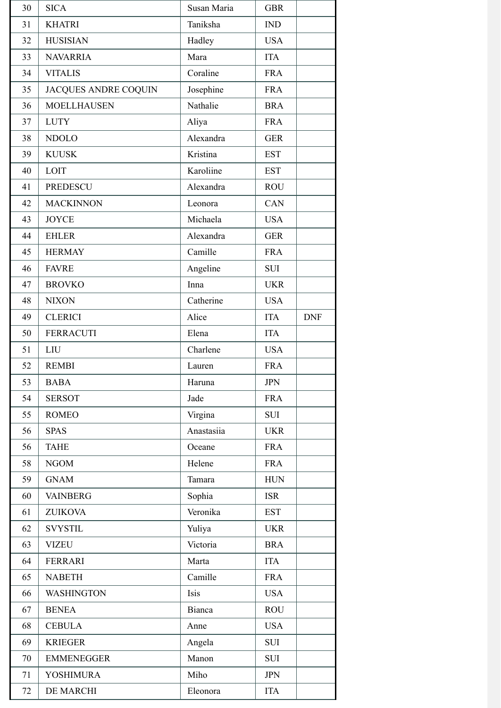| 30 | <b>SICA</b>                 | Susan Maria | <b>GBR</b> |            |
|----|-----------------------------|-------------|------------|------------|
| 31 | <b>KHATRI</b>               | Taniksha    | IND        |            |
| 32 | <b>HUSISIAN</b>             | Hadley      | <b>USA</b> |            |
| 33 | <b>NAVARRIA</b>             | Mara        | <b>ITA</b> |            |
| 34 | <b>VITALIS</b>              | Coraline    | <b>FRA</b> |            |
| 35 | <b>JACQUES ANDRE COQUIN</b> | Josephine   | <b>FRA</b> |            |
| 36 | <b>MOELLHAUSEN</b>          | Nathalie    | <b>BRA</b> |            |
| 37 | <b>LUTY</b>                 | Aliya       | <b>FRA</b> |            |
| 38 | <b>NDOLO</b>                | Alexandra   | <b>GER</b> |            |
| 39 | <b>KUUSK</b>                | Kristina    | <b>EST</b> |            |
| 40 | LOIT                        | Karoliine   | <b>EST</b> |            |
| 41 | <b>PREDESCU</b>             | Alexandra   | <b>ROU</b> |            |
| 42 | <b>MACKINNON</b>            | Leonora     | CAN        |            |
| 43 | <b>JOYCE</b>                | Michaela    | <b>USA</b> |            |
| 44 | <b>EHLER</b>                | Alexandra   | <b>GER</b> |            |
| 45 | <b>HERMAY</b>               | Camille     | <b>FRA</b> |            |
| 46 | <b>FAVRE</b>                | Angeline    | <b>SUI</b> |            |
| 47 | <b>BROVKO</b>               | Inna        | <b>UKR</b> |            |
| 48 | <b>NIXON</b>                | Catherine   | <b>USA</b> |            |
| 49 | <b>CLERICI</b>              | Alice       | <b>ITA</b> | <b>DNF</b> |
| 50 | <b>FERRACUTI</b>            | Elena       | <b>ITA</b> |            |
| 51 | <b>LIU</b>                  | Charlene    | <b>USA</b> |            |
| 52 | <b>REMBI</b>                | Lauren      | <b>FRA</b> |            |
| 53 | <b>BABA</b>                 | Haruna      | <b>JPN</b> |            |
| 54 | <b>SERSOT</b>               | Jade        | <b>FRA</b> |            |
| 55 | <b>ROMEO</b>                | Virgina     | <b>SUI</b> |            |
| 56 | <b>SPAS</b>                 | Anastasiia  | <b>UKR</b> |            |
| 56 | <b>TAHE</b>                 | Oceane      | <b>FRA</b> |            |
| 58 | <b>NGOM</b>                 | Helene      | <b>FRA</b> |            |
| 59 | <b>GNAM</b>                 | Tamara      | <b>HUN</b> |            |
| 60 | <b>VAINBERG</b>             | Sophia      | <b>ISR</b> |            |
| 61 | <b>ZUIKOVA</b>              | Veronika    | <b>EST</b> |            |
| 62 | <b>SVYSTIL</b>              | Yuliya      | <b>UKR</b> |            |
| 63 | <b>VIZEU</b>                | Victoria    | <b>BRA</b> |            |
| 64 | <b>FERRARI</b>              | Marta       | <b>ITA</b> |            |
| 65 | <b>NABETH</b>               | Camille     | <b>FRA</b> |            |
| 66 | <b>WASHINGTON</b>           | Isis        | <b>USA</b> |            |
| 67 | <b>BENEA</b>                | Bianca      | <b>ROU</b> |            |
| 68 | <b>CEBULA</b>               | Anne        | <b>USA</b> |            |
| 69 | <b>KRIEGER</b>              | Angela      | <b>SUI</b> |            |
| 70 | <b>EMMENEGGER</b>           | Manon       | <b>SUI</b> |            |
| 71 | <b>YOSHIMURA</b>            | Miho        | <b>JPN</b> |            |
| 72 | DE MARCHI                   | Eleonora    | <b>ITA</b> |            |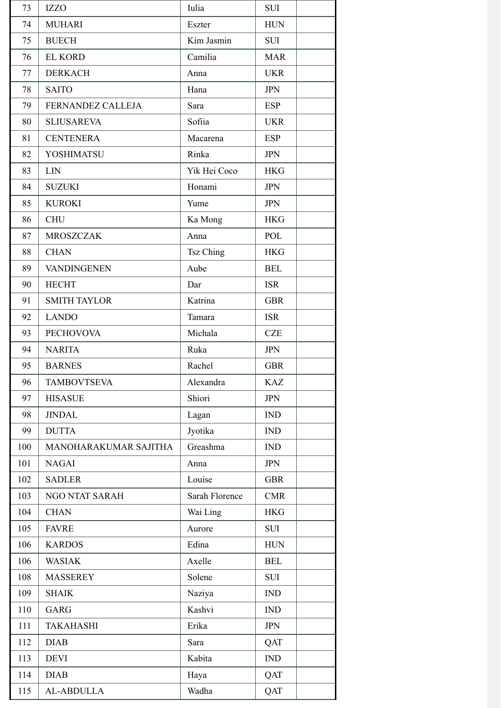| 73  | <b>IZZO</b>           | Iulia            | <b>SUI</b> |
|-----|-----------------------|------------------|------------|
| 74  | <b>MUHARI</b>         | Eszter           | <b>HUN</b> |
| 75  | <b>BUECH</b>          | Kim Jasmin       | <b>SUI</b> |
| 76  | <b>EL KORD</b>        | Camilia          | <b>MAR</b> |
| 77  | <b>DERKACH</b>        | Anna             | <b>UKR</b> |
| 78  | <b>SAITO</b>          | Hana             | <b>JPN</b> |
| 79  | FERNANDEZ CALLEJA     | Sara             | <b>ESP</b> |
| 80  | <b>SLIUSAREVA</b>     | Sofiia           | <b>UKR</b> |
| 81  | <b>CENTENERA</b>      | Macarena         | <b>ESP</b> |
| 82  | <b>YOSHIMATSU</b>     | Rinka            | <b>JPN</b> |
| 83  | <b>LIN</b>            | Yik Hei Coco     | <b>HKG</b> |
| 84  | <b>SUZUKI</b>         | Honami           | <b>JPN</b> |
| 85  | <b>KUROKI</b>         | Yume             | <b>JPN</b> |
| 86  | <b>CHU</b>            | Ka Mong          | <b>HKG</b> |
| 87  | <b>MROSZCZAK</b>      | Anna             | <b>POL</b> |
| 88  | <b>CHAN</b>           | <b>Tsz Ching</b> | <b>HKG</b> |
| 89  | <b>VANDINGENEN</b>    | Aube             | <b>BEL</b> |
| 90  | <b>HECHT</b>          | Dar              | <b>ISR</b> |
| 91  | <b>SMITH TAYLOR</b>   | Katrina          | <b>GBR</b> |
| 92  | <b>LANDO</b>          | Tamara           | <b>ISR</b> |
| 93  | <b>PECHOVOVA</b>      | Michala          | <b>CZE</b> |
| 94  | <b>NARITA</b>         | Ruka             | <b>JPN</b> |
| 95  | <b>BARNES</b>         | Rachel           | <b>GBR</b> |
| 96  | TAMBOVTSEVA           | Alexandra        | KAZ        |
| 97  | <b>HISASUE</b>        | Shiori           | <b>JPN</b> |
| 98  | <b>JINDAL</b>         | Lagan            | IND        |
| 99  | <b>DUTTA</b>          | Jyotika          | IND        |
| 100 | MANOHARAKUMAR SAJITHA | Greashma         | IND        |
| 101 | <b>NAGAI</b>          | Anna             | <b>JPN</b> |
| 102 | <b>SADLER</b>         | Louise           | <b>GBR</b> |
| 103 | NGO NTAT SARAH        | Sarah Florence   | <b>CMR</b> |
| 104 | <b>CHAN</b>           | Wai Ling         | <b>HKG</b> |
| 105 | <b>FAVRE</b>          | Aurore           | SUI        |
| 106 | <b>KARDOS</b>         | Edina            | <b>HUN</b> |
| 106 | <b>WASIAK</b>         | Axelle           | <b>BEL</b> |
| 108 | <b>MASSEREY</b>       | Solene           | <b>SUI</b> |
| 109 | <b>SHAIK</b>          | Naziya           | <b>IND</b> |
| 110 | GARG                  | Kashvi           | IND        |
| 111 | <b>TAKAHASHI</b>      | Erika            | <b>JPN</b> |
| 112 | <b>DIAB</b>           | Sara             | QAT        |
| 113 | <b>DEVI</b>           | Kabita           | IND        |
| 114 | <b>DIAB</b>           | Haya             | QAT        |
| 115 | AL-ABDULLA            | Wadha            | QAT        |